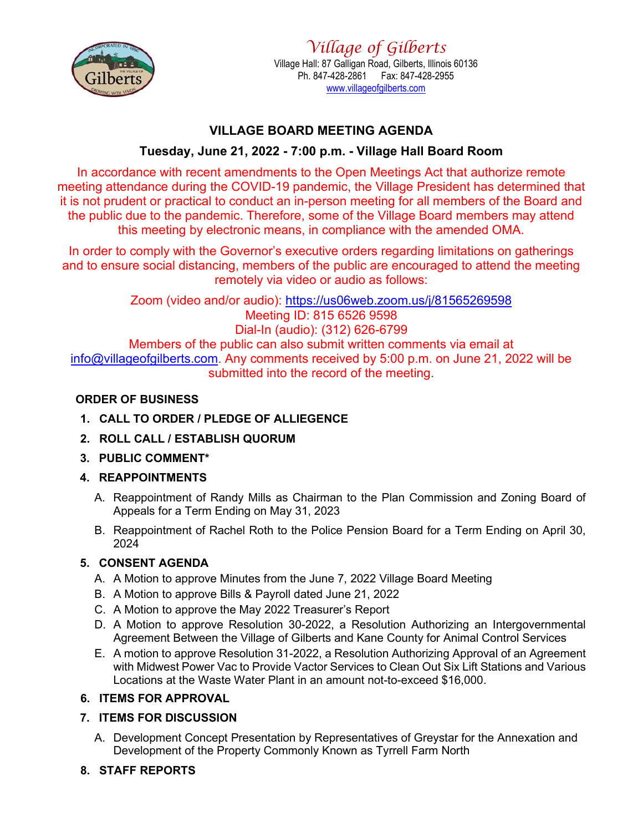

# **VILLAGE BOARD MEETING AGENDA**

# **Tuesday, June 21, 2022 - 7:00 p.m. - Village Hall Board Room**

In accordance with recent amendments to the Open Meetings Act that authorize remote meeting attendance during the COVID-19 pandemic, the Village President has determined that it is not prudent or practical to conduct an in-person meeting for all members of the Board and the public due to the pandemic. Therefore, some of the Village Board members may attend this meeting by electronic means, in compliance with the amended OMA.

In order to comply with the Governor's executive orders regarding limitations on gatherings and to ensure social distancing, members of the public are encouraged to attend the meeting remotely via video or audio as follows:

Zoom (video and/or audio): <https://us06web.zoom.us/j/81565269598> Meeting ID: 815 6526 9598 Dial-In (audio): (312) 626-6799 Members of the public can also submit written comments via email at [info@villageofgilberts.com.](mailto:info@villageofgilberts.com) Any comments received by 5:00 p.m. on June 21, 2022 will be submitted into the record of the meeting.

## **ORDER OF BUSINESS**

- **1. CALL TO ORDER / PLEDGE OF ALLIEGENCE**
- **2. ROLL CALL / ESTABLISH QUORUM**
- **3. PUBLIC COMMENT\***

## **4. REAPPOINTMENTS**

- A. Reappointment of Randy Mills as Chairman to the Plan Commission and Zoning Board of Appeals for a Term Ending on May 31, 2023
- B. Reappointment of Rachel Roth to the Police Pension Board for a Term Ending on April 30, 2024

## **5. CONSENT AGENDA**

- A. A Motion to approve Minutes from the June 7, 2022 Village Board Meeting
- B. A Motion to approve Bills & Payroll dated June 21, 2022
- C. A Motion to approve the May 2022 Treasurer's Report
- D. A Motion to approve Resolution 30-2022, a Resolution Authorizing an Intergovernmental Agreement Between the Village of Gilberts and Kane County for Animal Control Services
- E. A motion to approve Resolution 31-2022, a Resolution Authorizing Approval of an Agreement with Midwest Power Vac to Provide Vactor Services to Clean Out Six Lift Stations and Various Locations at the Waste Water Plant in an amount not-to-exceed \$16,000.

## **6. ITEMS FOR APPROVAL**

## **7. ITEMS FOR DISCUSSION**

A. Development Concept Presentation by Representatives of Greystar for the Annexation and Development of the Property Commonly Known as Tyrrell Farm North

## **8. STAFF REPORTS**